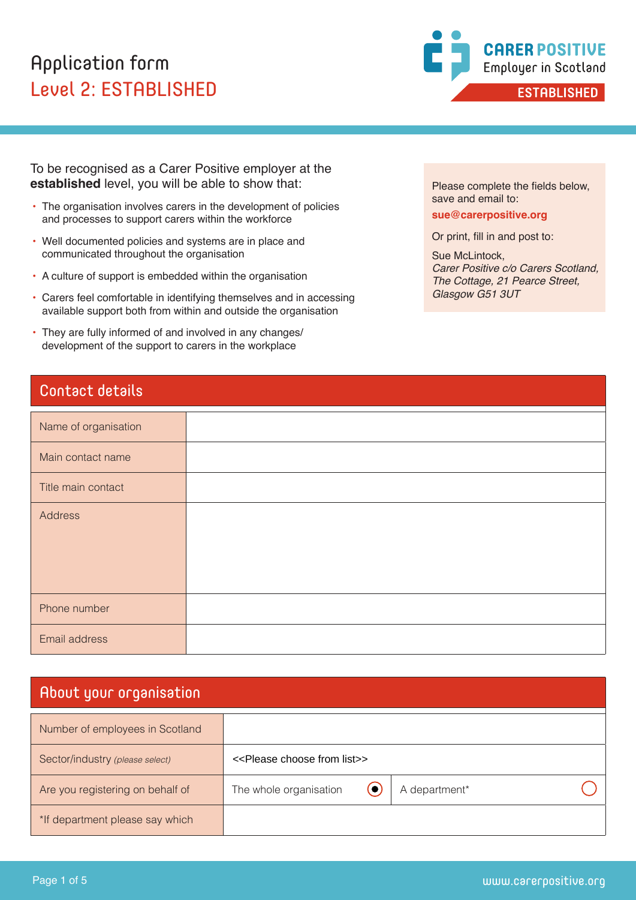# Application form Level 2: ESTABLISHED



To be recognised as a Carer Positive employer at the **established** level, you will be able to show that:

- The organisation involves carers in the development of policies and processes to support carers within the workforce
- Well documented policies and systems are in place and communicated throughout the organisation
- A culture of support is embedded within the organisation
- Carers feel comfortable in identifying themselves and in accessing available support both from within and outside the organisation
- They are fully informed of and involved in any changes/ development of the support to carers in the workplace

# Contact details

| Name of organisation |  |
|----------------------|--|
| Main contact name    |  |
| Title main contact   |  |
| Address              |  |
| Phone number         |  |
| Email address        |  |

# About your organisation

| Number of employees in Scotland  |                                                   |               |                       |
|----------------------------------|---------------------------------------------------|---------------|-----------------------|
| Sector/industry (please select)  | < <please choose="" from="" list="">&gt;</please> |               |                       |
| Are you registering on behalf of | The whole organisation<br>(●                      | A department* |                       |
| *If department please say which  |                                                   |               |                       |
|                                  |                                                   |               |                       |
| Page 1 of 5                      |                                                   |               | www.carerpositive.org |

Please complete the fields below, save and email to:

**sue@carerpositive.org**

Or print, fill in and post to:

Sue McLintock, *Carer Positive c/o Carers Scotland, The Cottage, 21 Pearce Street, Glasgow G51 3UT*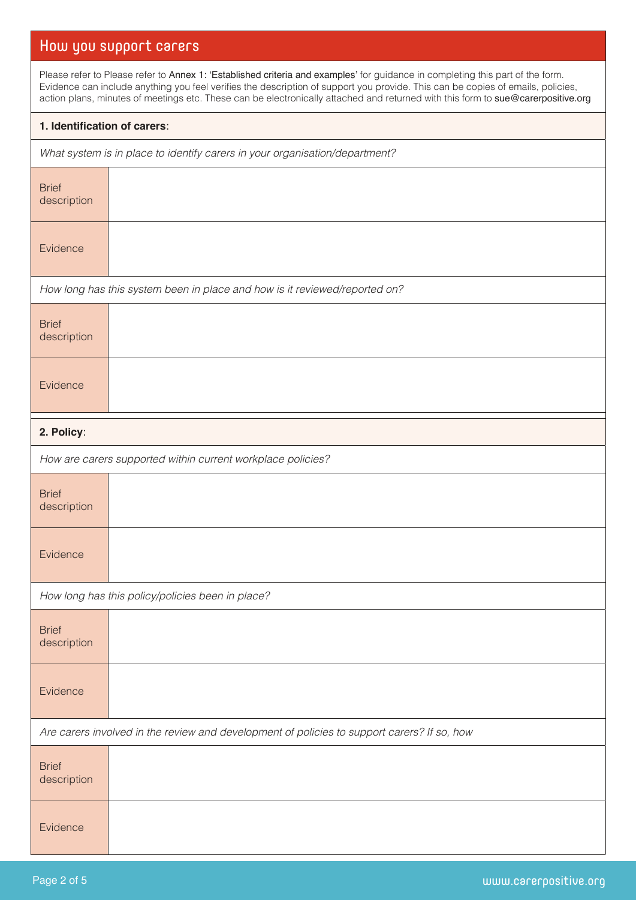# How you support carers

Please refer to Please refer to Annex 1: 'Established criteria and examples' for guidance in completing this part of the form. Evidence can include anything you feel verifies the description of support you provide. This can be copies of emails, policies, action plans, minutes of meetings etc. These can be electronically attached and returned with this form to sue@carerpositive.org

#### **1. Identification of carers**:

*What system is in place to identify carers in your organisation/department?*

| <b>Brief</b><br>description                                                                 |                                                                            |
|---------------------------------------------------------------------------------------------|----------------------------------------------------------------------------|
| Evidence                                                                                    |                                                                            |
|                                                                                             | How long has this system been in place and how is it reviewed/reported on? |
| <b>Brief</b><br>description                                                                 |                                                                            |
| Evidence                                                                                    |                                                                            |
| 2. Policy:                                                                                  |                                                                            |
|                                                                                             | How are carers supported within current workplace policies?                |
| <b>Brief</b><br>description                                                                 |                                                                            |
| Evidence                                                                                    |                                                                            |
|                                                                                             | How long has this policy/policies been in place?                           |
| <b>Brief</b><br>description                                                                 |                                                                            |
| Evidence                                                                                    |                                                                            |
| Are carers involved in the review and development of policies to support carers? If so, how |                                                                            |
| <b>Brief</b><br>description                                                                 |                                                                            |
| Evidence                                                                                    |                                                                            |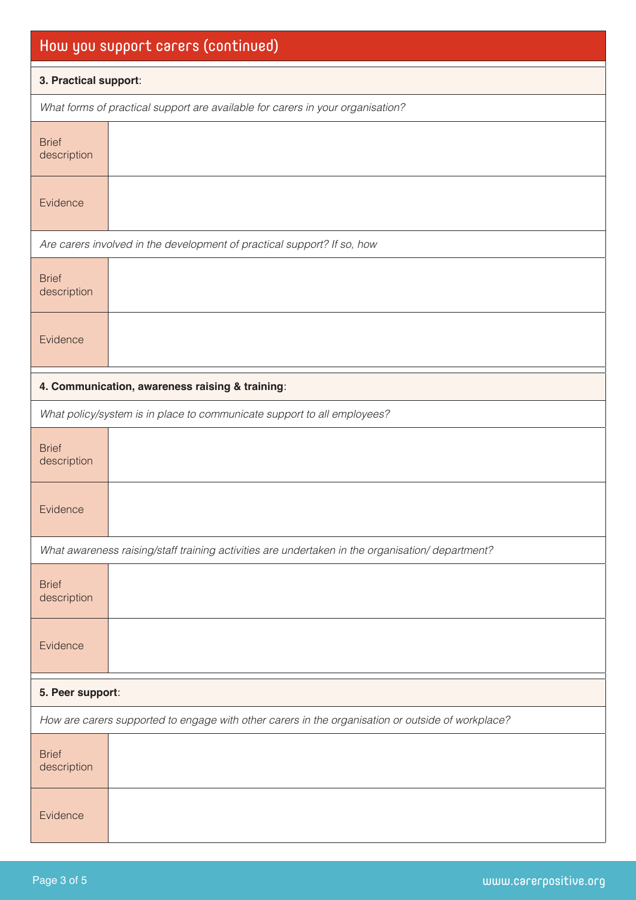| How you support carers (continued)                                                                |                                                                                                  |  |
|---------------------------------------------------------------------------------------------------|--------------------------------------------------------------------------------------------------|--|
| 3. Practical support:                                                                             |                                                                                                  |  |
|                                                                                                   | What forms of practical support are available for carers in your organisation?                   |  |
| <b>Brief</b><br>description                                                                       |                                                                                                  |  |
| Evidence                                                                                          |                                                                                                  |  |
|                                                                                                   | Are carers involved in the development of practical support? If so, how                          |  |
| <b>Brief</b><br>description                                                                       |                                                                                                  |  |
| Evidence                                                                                          |                                                                                                  |  |
|                                                                                                   | 4. Communication, awareness raising & training:                                                  |  |
|                                                                                                   | What policy/system is in place to communicate support to all employees?                          |  |
| <b>Brief</b><br>description                                                                       |                                                                                                  |  |
| Evidence                                                                                          |                                                                                                  |  |
|                                                                                                   | What awareness raising/staff training activities are undertaken in the organisation/ department? |  |
| <b>Brief</b><br>description                                                                       |                                                                                                  |  |
| Evidence                                                                                          |                                                                                                  |  |
| 5. Peer support:                                                                                  |                                                                                                  |  |
| How are carers supported to engage with other carers in the organisation or outside of workplace? |                                                                                                  |  |
| <b>Brief</b><br>description                                                                       |                                                                                                  |  |
| Evidence                                                                                          |                                                                                                  |  |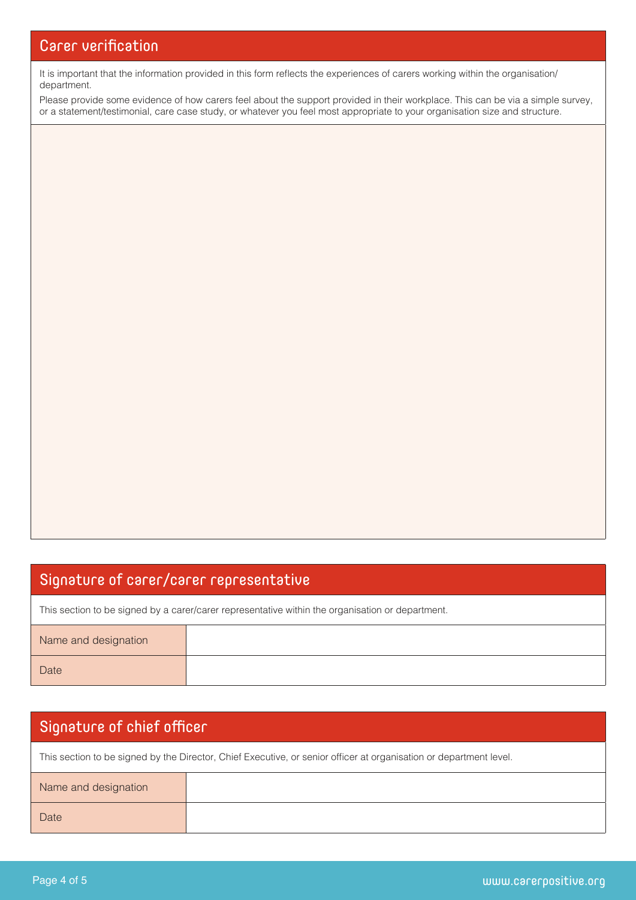It is important that the information provided in this form reflects the experiences of carers working within the organisation/ department.

Please provide some evidence of how carers feel about the support provided in their workplace. This can be via a simple survey, or a statement/testimonial, care case study, or whatever you feel most appropriate to your organisation size and structure.

### Signature of carer/carer representative

This section to be signed by a carer/carer representative within the organisation or department.

| Name and designation |  |
|----------------------|--|
| Date                 |  |

# Signature of chief officer

This section to be signed by the Director, Chief Executive, or senior officer at organisation or department level.

| Name and designation |  |
|----------------------|--|
| Date                 |  |